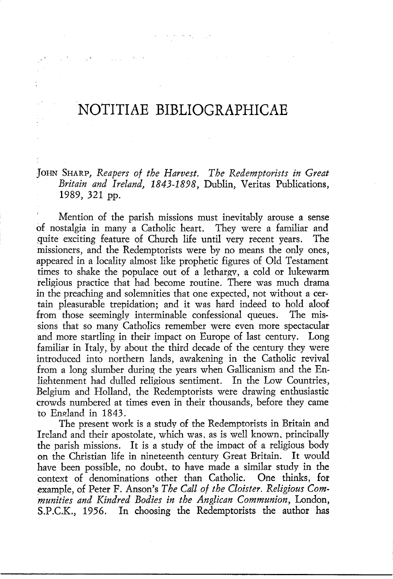## **NOTITIAE BIBLIOGRAPHICAE**

## JoHN SHARP, *Reapers of the Harvest. The Redemptorists in Great Britain and Ireland, 1843-1898,* Dublin, Veritas Publications, 1989, 321 pp.

Mention of the parish missions must inevitably arouse a sense of nostalgia in many a Catholic heart. They were a familiar and quite exciting feature of Church life until very recent years. The missioners, and the Redemptorists were by no means the only ones, appeared in a locality almost like prophetic figures of Old Testament times to shake the populace out of a lethargv, a cold or lukewarm religious practice that had become routine. There was much drama in the preaching and solemnities that one expected, not without a certain pleasurable trepidation; and it was hard indeed to hold aloof from those seemingly interminable confessional queues. The missions that so many Catholics remember were even more spectacular and more startling in their impact on Europe of last century. Long familiar in Italy, by about the third decade of the century they were introduced into northern lands, awakening in the Catholic revival from a long slumber during the years when Gallicanism and the Enlightenment had dulled religious sentiment. In the Low Countries, Belgium and Holland, the Redemptorists were drawing enthusiastic crowds numbered at times even in their thousands, before they came to England in 1843.

The present work is a study of the Redemptorists in Britain and Ireland and their apostolate, which was, as is well known, principally the parish missions. It is a study of the impact of a religious body on the Christian life in nineteenth century Great Britain. It would have been possible, no doubt, to have made a similar study in the context of denominations other than Catholic. One thinks, for :example, of Peter F. Anson's *The Call of the Cloister. Religious Communities and Kindred Bodies in the Anglican Communion,* London, S.P.C.K., 1956. In choosing the Redemptorists the author has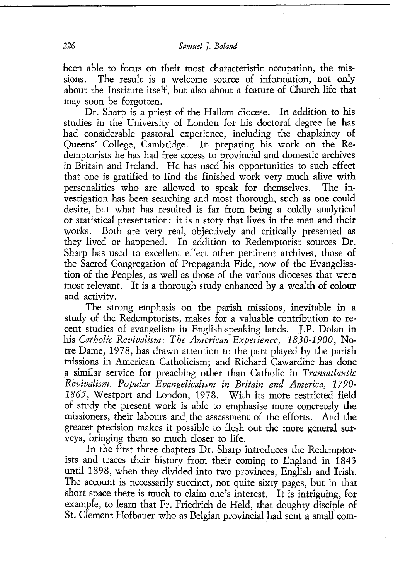been able to focus on their most characteristic occupation, the missions. The result is a welcome source of information, not only about the Institute itself, but also about a feature of Church life that may soon be forgotten.

Dr. Sharp is a priest of the Hallam diocese. In addition to his studies in the University of London for his doctoral degree he has had considerable pastoral experience, including the chaplaincy of Queens' College, Cambridge. In preparing his work on the Redemptorists he has had free access to provincial and domestic archives in Britain and Ireland. He has used his opportunities to such effect that one is gratified to find the finished work very much alive with personalities who are allowed to speak for themselves. The investigation has been searching and most thorough, such as one could desire, but what has resulted is far from being a coldly analytical or statistical presentation: it is a story that lives in the men and their works. Both are very real, objectively and critically presented as they lived or happened. In addition to Redemptorist sources Dr. Sharp has used to excellent effect other pertinent archives, those of the Sacred Congregation of Propaganda Fide, now of the Evangelisation of the Peoples, as well as those of the various dioceses that were most relevant. It is a thorough study enhanced by a wealth of colour and activity.

The strong emphasis on the parish missions, inevitable in a study of the Redemptorists, makes for a valuable contribution to recent studies of evangelism in English-speaking lands. J.P. Dolan in his *Catholic Revivalism: The American Experience, 1830-1900,* Notre Dame, 1978, has drawn attention to the part played by the parish missions in American Catholicism; and Richard Cawardine has done a similar service for preaching other than Catholic in *Transatlantic Revivalism. Popular Evangelicalism in Britain and America, 1790- 1865,* Westport and London, 1978. With its more restricted field of study the present work is able to emphasise more concretely the missioners, their labours and the assessment of the efforts. And the greater precision makes it possible to flesh out the more general surveys, bringing them so much closer to life.

In the first three chapters Dr. Sharp introduces the Redemptorists and traces their history from their coming to England in 1843 until 1898, when they divided into two provinces, English and Irish. The account is necessarily succinct, not quite sixty pages, but in that short space there is much to claim one's interest. It is intriguing, for example, to learn that Fr. Friedrich de Held, that doughty disciple of St. Clement Hofbauer who as Belgian provincial had sent a small com-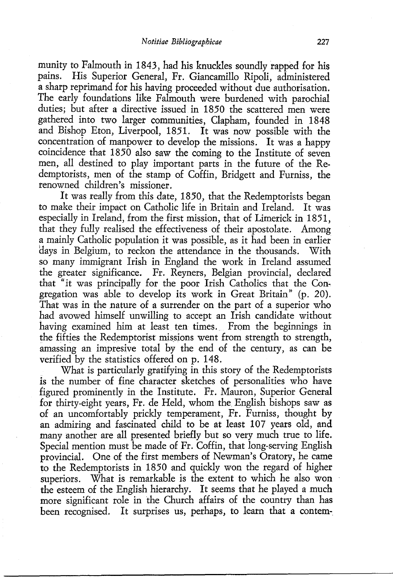munity to Falmouth in 1843, had his knuckles soundly rapped for his pains. His Superior General, Fr. Giancamillo Ripoli, administered a sharp reprimand for his having proceeded without due authorisation. The early foundations like Falmouth were burdened with parochial duties; but after a directive issued in 1850 the scattered men were gathered into two larger communities, Clapham, founded in 1848 and Bishop Eton, Liverpool, 1851. It was now possible with the concentration of manpower to develop the missions. It was a happy coincidence that 1850 also saw the coming to the Institute of seven men, all destined to play important parts in the future of the Redemptorists, men of the stamp of Coffin, Bridgett and Furniss, the renowned children's missioner.

It was really from this date, 1850, that the Redemptorists began to make their impact on Catholic life in Britain and Ireland. It was especially in Ireland, from the first mission, that of Limerick in 1851, that they fully realised the effectiveness of their apostolate. Among a mainly Catholic population it was possible, as it had been in earlier days in Belgium, to reckon the attendance in the thousands. With so many immigrant Irish in England the work in Ireland assumed the greater significance. Fr. Reyners, Belgian provincial, declared that "it was principally for the poor Irish Catholics that the Con~ gregation was able to develop its work in Great Britain" (p. 20). That was in the nature of a surrender on the part of a superior who had avowed himself unwilling to accept an Irish candidate without having examined him at least ten times. From the beginnings in the fifties the Redemptorist missions went from strength to strength, amassing an impresive total by the end of the century, as can be verified by the statistics offered on p. 148.

. What is particularly gratifying in this story of the Redemptorists is the number of fine character sketches of personalities who have figured prominently in the Institute. Fr. Mauron, Superior General for thirty-eight years, Fr. de Held, whom the English bishops saw as of an uncomfortably prickly temperament, Fr. Furniss, thought by an admiring and fascinated child to be at least 107 years old, and many another are all presented briefly but so very much true to life. Special mention must be made of Fr. Coffin, that long-serving English provincial. One of the first members of Newman's Oratory, he came to the Redemptorists in 1850 and quickly won the regard of higher superiors. What is remarkable is the extent to which he also won the esteem of the English hierarchy. It seems that he played a much more significant role in the Church affairs of the country than has been recognised. It surprises us, perhaps, to learn that a contem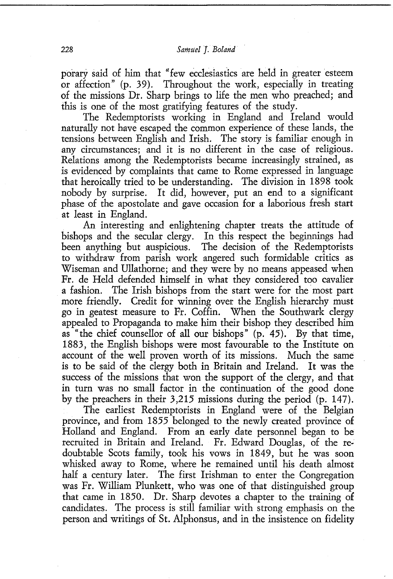porary said of him that "few ecclesiastics are held in greater esteem or affection" (p. 39). Throughout the work, especially in treating of the missions Dr. Sharp brings to life the men who preached; and this is one of the most gratifying features of the study.

The Redemptorists working in England and Ireland would naturally not have escaped the common experience of these lands, the tensions between English and Irish. The story is familiar enough in any circumstances; and it is no different in the case of religious. Relations among the Redemptorists became increasingly strained, as is evidenced by complaints that came to Rome expressed in language that heroically tried to be understanding. The division in 1898 took nobody by surprise. It did, however, put an end to a significant phase of the apostolate and gave occasion for a laborious fresh start at least in England.

An interesting and enlightening chapter treats the attitude of bishops and the secular clergy. In this respect the beginnings had been anything but auspicious. The decision of the Redemptorists to withdraw from parish work angered such formidable critics as Wiseman and Ullathorne; and they were by no means appeased when Fr. de Held defended himself in what they considered too cavalier a fashion. The Irish bishops from the start were for the most part more friendly. Credit for winning over the English hierarchy must go in geatest measure to Fr. Coffin. When the Southwark clergy appealed to Propaganda to make him their bishop they described him as "the chief counsellor of all our bishops" (p. 45). By that time, 1883, the English bishops were most favourable to the Institute on account of the well proven worth of its missions. Much the same is to be said of the clergy both in Britain and Ireland. It was the success of the missions that won the support of the clergy, and that in turn was no small factor in the continuation of the good done by the preachers in their 3,215 missions during the period (p. 147).

The earliest Redemptorists in England were of the Belgian province, and from 1855 belonged to the newly created province of Holland and England. From an early date personnel began to be recruited in Britain and Ireland. Fr. Edward Douglas, of the redoubtable Scots family, took his vows in 1849, but he was soon whisked away to Rome, where he remained until his death almost half a century later. The first Irishman to enter the Congregation was Fr. William Plunkett, who was one of that distinguished group that came in 1850. Dr. Sharp devotes a chapter to the training of candidates. The process is still familiar with strong emphasis on the person and writings of St. Alphonsus, and in the insistence on fidelity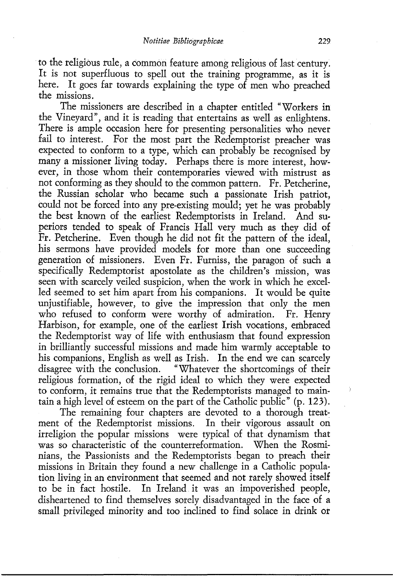to the religious rule, a common feature among religious of last century. It is not superfluous to spell out the training programme, as it is here. It goes far towards explaining the type of men who preached the missions.

The missioners are described in a chapter entitled "Workers in the Vineyard", and it is reading that entertains as well as enlightens. There is ample occasion here for presenting personalities who never fail to interest. For the most part the Redemptorist preacher was expected to conform to a type, which can probably be recognised by many a missioner living today. Perhaps there is more interest, however, in those whom their contemporaries viewed with mistrust as not conforming as they should to the common pattern. Fr. Petcherine, the Russian scholar who became such a passionate Irish patriot, could not be forced into any pre-existing mould; yet he was probably the best known of the earliest Redemptorists in Ireland. And superiors tended to speak of Francis Hall very much as they did of Fr. Petcherine. Even though he did not fit the pattern of the ideal, his sermons have provided models for more than one succeeding generation of missioners. Even Fr. Furniss, the paragon of such a specifically Redemptorist apostolate as the children's mission, was seen with scarcely veiled suspicion, when the work in which he excelled seemed to set him apart from his companions. It would be quite unjustifiable, however, to give the impression that only the men who refused to conform were worthy of admiration. Fr. Henry Harbison, for example, one of the earliest Irish vocations, embraced the Redemptorist way of life with enthusiasm that found expression in brilliantly successful missions and made him warmly acceptable to his companions, English as well as Irish. In the end we can scarcely disagree with the conclusion. "Whatever the shortcomings of their religious formation, of the rigid ideal to which they were expected to conform, it remains true that the Redemptorists managed to maintain a high level of esteem on the part of the Catholic public" (p. 123).

The remaining four chapters are devoted to a thorough treatment of the Redemptorist missions. In their vigorous assault on irreligion the popular missions were typical of that dynamism that was so characteristic of the counterreformation. When the Rosminians, the Passionists and the Redemptorists began to preach their missions in Britain they found a new challenge in a Catholic population living in an environment that seemed and not rarely showed itself to be in fact hostile. In Ireland it was an impoverished people, disheartened to find themselves sordy disadvantaged in the face of a small privileged minority and too inclined to find solace in drink or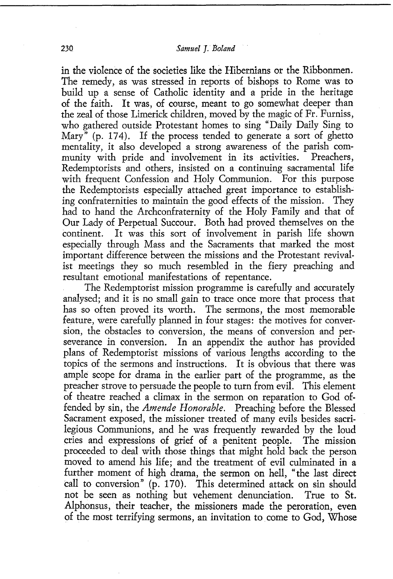in the violence of the societies like the Hibernians or the Ribbonmen. The remedy, as was stressed in reports of bishops to Rome was to build up a sense of Catholic identity and a pride in the heritage of the faith. It was, of course, meant to go somewhat deeper than the zeal of those Limerick children, moved by the magic of Fr. Furniss, who gathered outside Protestant homes to sing "Daily Daily Sing to Mary" (p. 174). If the process tended to generate a sort of ghetto mentality, it also developed a strong awareness of the parish community with pride and involvement in its activities. Preachers, Redemptorists and others, insisted on a continuing sacramental life with frequent Confession and Holy Communion. For this purpose the Redemptorists especially attached great importance to establishing confraternities to maintain the good effects of the mission. They had to hand the Archconfraternity of the Holy Family and that of Our Lady of Perpetual Succour. Both had proved themselves on the continent. It was this sort of involvement in parish life shown especially through Mass and the Sacraments that marked the most important difference between the missions and the Protestant revivalist meetings they so much resembled in the fiery preaching and resultant emotional manifestations of repentance.

The Redemptorist mission programme is carefully and accurately analysed; and it is no small gain to trace once more that process that has so often proved its worth. The sermons, the most memorable feature, were carefully planned in four stages: the motives for conversion, the obstacles to conversion, the means of conversion and perseverance in conversion. In an appendix the author has provided plans of Redemptorist missions of various lengths according to the topics of the sermons and instructions. It is obvious that there was ample scope for drama in the earlier part of the programme, as the preacher strove to persuade the people to turn from evil. This element of theatre reached a climax in the sermon on reparation to God offended by sin, the *Amende Honorable.* Preaching before the Blessed Sacrament exposed, the missioner treated of many evils besides sacrilegious Communions, and he was frequently rewarded by the loud cries and expressions of grief of a penitent people. The mission proceeded to deal with those things that might hold back the person moved to amend his life; and the treatment of evil culminated in a further moment of high drama, the sermon on hell, "the last direct call to conversion" (p. 170). This determined attack on sin should not be seen as nothing but vehement denunciation. True to St. Alphonsus, their teacher, the missioners made the peroration, even of the most terrifying sermons, an invitation to come to God, Whose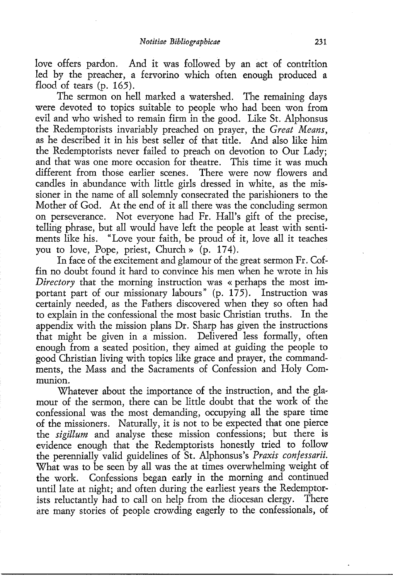love offers pardon. And it was followed by an act of contrition led by the preacher, a fervorino which often enough produced a flood of tears (p. 165).

The sermon on hell marked a watershed. The remaining days were devoted to topics suitable to people who had been won from evil and who wished to remain firm in the good. Like St. Alphonsus the Redemptorists invariably preached on prayer, the *Great Means,*  as he described it in his best seller of that title. And also like him the Redemptorists never failed to preach on devotion to Our Lady; and that was one more occasion for theatre. This time it was much different from those earlier scenes. There were now flowers and different from those earlier scenes. candles in abundance with little girls dressed in white, as the missioner in the name of all solemnly consecrated the parishioners to the Mother of God. At the end of it all there was the concluding sermon on perseverance. Not everyone had Fr. Hall's gift of the precise, tellirig phrase, but all would have left the people at least with sentiments like his. "Love your faith, be proud of it, love all it teaches you to love, Pope, priest, Church» (p. 174).

In face of the excitement and glamour of the great sermon Fr. Coffin no doubt found it hard to convince his men when he wrote in his *Directory* that the morning instruction was « perhaps the most important part of our missionary labours" (p. 175). Instruction was certainly needed, as the Fathers discovered when they so often had to explain in the confessional the most basic Christian truths. In the appendix with the mission plans Dr. Sharp has given the instructions that might be given in a mission. Delivered less formally, often enough from a seated position, they aimed at guiding the people to good Christian living with topics like grace and prayer, the commandments, the Mass and the Sacraments of Confession and Holy Communion.

Whatever about the importance of the instruction, and the glamour of the sermon, there can be little doubt that the work of the confessional was the most demanding, occupying all the spare time of the missioners. Naturally, it is not to be expected that one pierce the *sigillum* and analyse these mission confessions; but there is evidence enough that the Redemptorists honestly tried to follow the perennially valid guidelines of St. Alphonsus's *Praxis confessarii.*  What was to be seen by all was the at times overwhelming weight of the work. Confessions began early in the morning and continued until late at night; and often during the earliest years the Redemptorists reluctantly had to call on help from the diocesan clergy. There are many stories of people crowding eagerly to the confessionals, of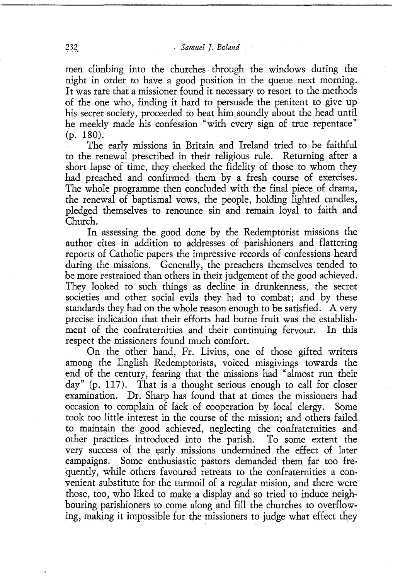men climbing into the churches through the windows during the night in order to have a good position in the queue next morning. It was rare that a missioner found it necessary to resort to the methods of the one who, finding it hard to persuade the penitent to give up his secret society, proceeded to beat him soundly about the head until he meekly made his confession "with every sign of true repentace" (p. 180).

The early missions in Britain and Ireland tried to be faithful to the renewal prescribed in their religious rule. Returning after a short lapse of time, they checked the fidelity of those to whom they had preached and confirmed them by a fresh course of exercises. The whole programme then concluded with the final piece of drama, the renewal of baptismal vows, the people, holding lighted candles, pledged themselves to renounce sin and remain loyal to faith and Church.

In assessing the good done by the Redemptorist missions the author cites in addition to addresses of parishioners and flattering reports of Catholic papers the impressive records of confessions heard during the missions. Generally, the preachers themselves tended to be more restrained than others in their judgement of the good achieved. They looked to such things as decline in drunkenness, the secret societies and other social evils they had to combat; and by these standards they had on the whole reason enough to be satisfied. A very precise indication that their efforts had borne fruit was the establishment of the confraternities and their continuing fervour. In this respect the missioners found much comfort.

On the other hand, Fr. Livius, one of those gifted writers among the English Redemptorists, voiced misgivings towards the end of the century, fearing that the missions had "almost run their day" (p. 117). That is a thought serious enough to call for closer examination. Dr. Sharp has found that at times the missioners had occasion to complain of lack of cooperation by local clergy. Some took too little interest in the course of the mission; and others failed to maintain the good achieved, neglecting the confraternities and other practices introduced into the parish. To some extent the very success of the early missions undermined the effect of later campaigns. Some enthusiastic pastors demanded them far too frequently, while others favoured retreats to the confraternities a convenient substitute for the turmoil of a regular mision, and there were those, too, who liked to make a display and so tried to induce neighbouring parishioners to come along and fill the churches to overflowing, making it impossible for the missioners to judge what effect they